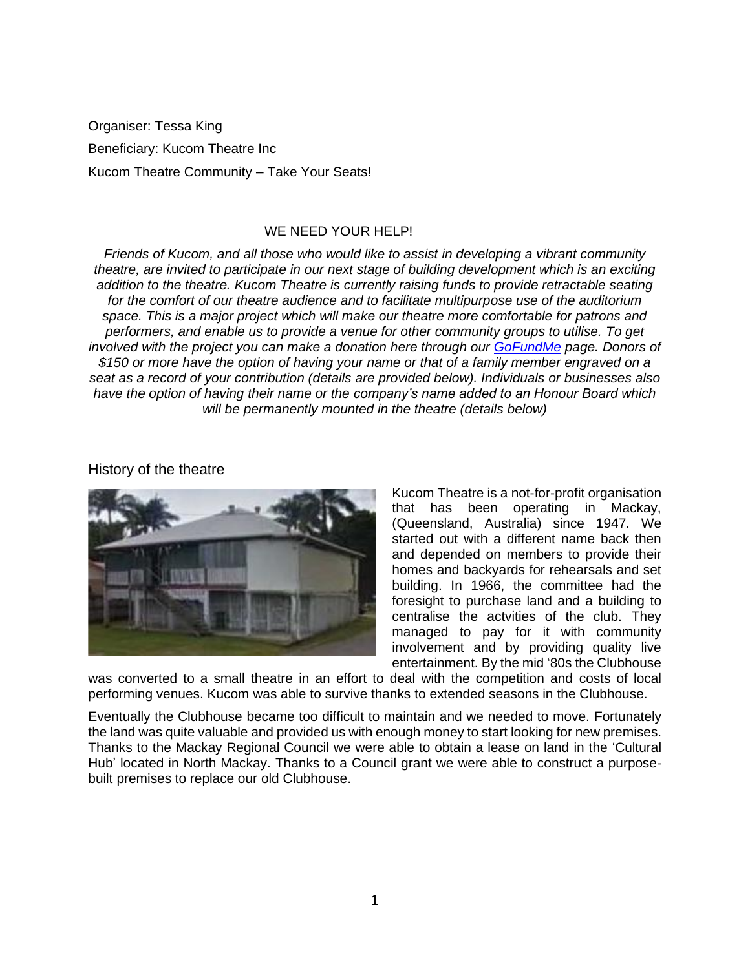Organiser: Tessa King Beneficiary: Kucom Theatre Inc Kucom Theatre Community – Take Your Seats!

## WE NEED YOUR HELP!

*Friends of Kucom, and all those who would like to assist in developing a vibrant community theatre, are invited to participate in our next stage of building development which is an exciting addition to the theatre. Kucom Theatre is currently raising funds to provide retractable seating for the comfort of our theatre audience and to facilitate multipurpose use of the auditorium space. This is a major project which will make our theatre more comfortable for patrons and performers, and enable us to provide a venue for other community groups to utilise. To get involved with the project you can make a donation here through our [GoFundMe](https://bit.ly/3snhafy) page. Donors of \$150 or more have the option of having your name or that of a family member engraved on a seat as a record of your contribution (details are provided below). Individuals or businesses also have the option of having their name or the company's name added to an Honour Board which will be permanently mounted in the theatre (details below)*

History of the theatre



Kucom Theatre is a not-for-profit organisation that has been operating in Mackay, (Queensland, Australia) since 1947. We started out with a different name back then and depended on members to provide their homes and backyards for rehearsals and set building. In 1966, the committee had the foresight to purchase land and a building to centralise the actvities of the club. They managed to pay for it with community involvement and by providing quality live entertainment. By the mid '80s the Clubhouse

was converted to a small theatre in an effort to deal with the competition and costs of local performing venues. Kucom was able to survive thanks to extended seasons in the Clubhouse.

Eventually the Clubhouse became too difficult to maintain and we needed to move. Fortunately the land was quite valuable and provided us with enough money to start looking for new premises. Thanks to the Mackay Regional Council we were able to obtain a lease on land in the 'Cultural Hub' located in North Mackay. Thanks to a Council grant we were able to construct a purposebuilt premises to replace our old Clubhouse.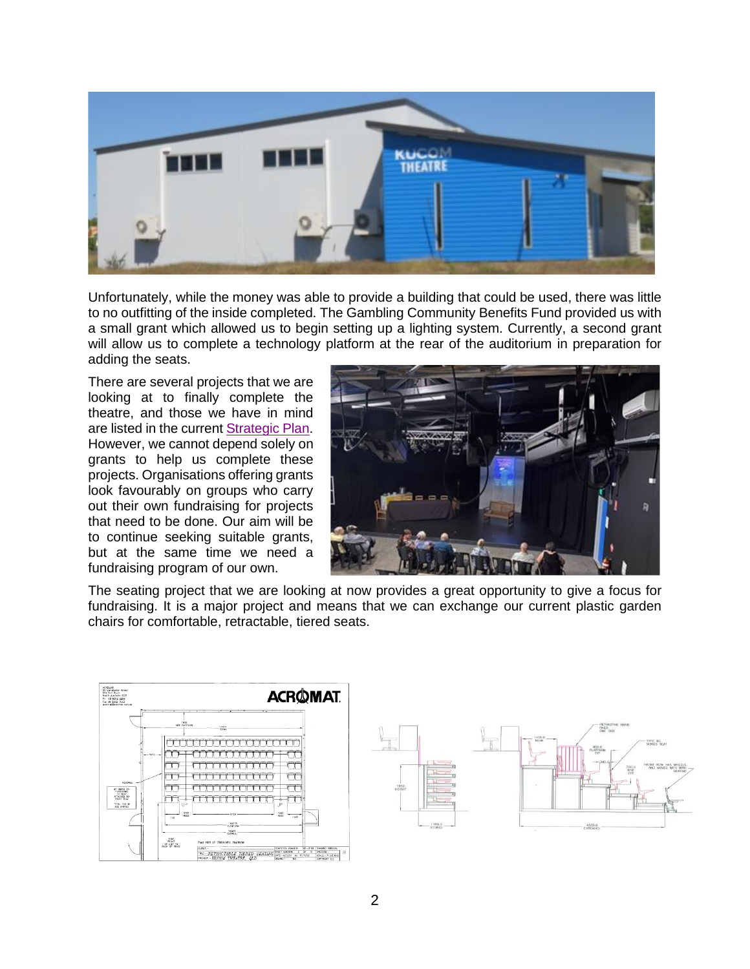

Unfortunately, while the money was able to provide a building that could be used, there was little to no outfitting of the inside completed. The Gambling Community Benefits Fund provided us with a small grant which allowed us to begin setting up a lighting system. Currently, a second grant will allow us to complete a technology platform at the rear of the auditorium in preparation for adding the seats.

There are several projects that we are looking at to finally complete the theatre, and those we have in mind are listed in the curren[t Strategic Plan.](https://bit.ly/3snl2gA) However, we cannot depend solely on grants to help us complete these projects. Organisations offering grants look favourably on groups who carry out their own fundraising for projects that need to be done. Our aim will be to continue seeking suitable grants, but at the same time we need a fundraising program of our own.



The seating project that we are looking at now provides a great opportunity to give a focus for fundraising. It is a major project and means that we can exchange our current plastic garden chairs for comfortable, retractable, tiered seats.